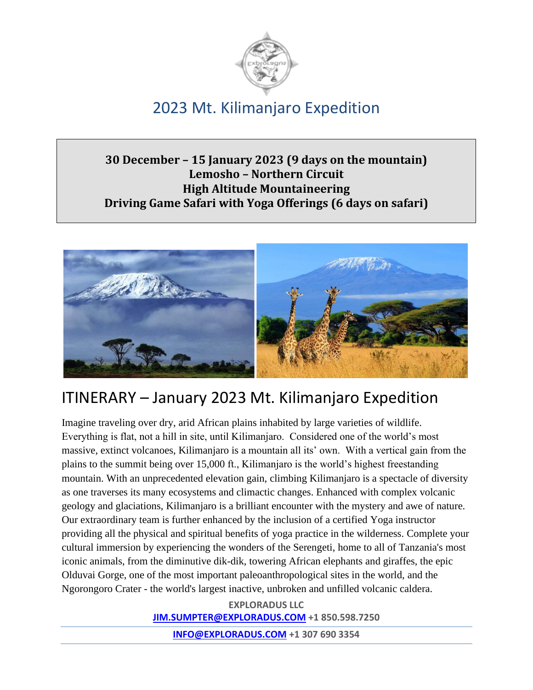

### **30 December – 15 January 2023 (9 days on the mountain) Lemosho – Northern Circuit High Altitude Mountaineering Driving Game Safari with Yoga Offerings (6 days on safari)**



# ITINERARY – January 2023 Mt. Kilimanjaro Expedition

Imagine traveling over dry, arid African plains inhabited by large varieties of wildlife. Everything is flat, not a hill in site, until Kilimanjaro. Considered one of the world's most massive, extinct volcanoes, Kilimanjaro is a mountain all its' own. With a vertical gain from the plains to the summit being over 15,000 ft., Kilimanjaro is the world's highest freestanding mountain. With an unprecedented elevation gain, climbing Kilimanjaro is a spectacle of diversity as one traverses its many ecosystems and climactic changes. Enhanced with complex volcanic geology and glaciations, Kilimanjaro is a brilliant encounter with the mystery and awe of nature. Our extraordinary team is further enhanced by the inclusion of a certified Yoga instructor providing all the physical and spiritual benefits of yoga practice in the wilderness. Complete your cultural immersion by experiencing the wonders of the Serengeti, home to all of Tanzania's most iconic animals, from the diminutive dik-dik, towering African elephants and giraffes, the epic Olduvai Gorge, one of the most important paleoanthropological sites in the world, and the Ngorongoro Crater - the world's largest inactive, unbroken and unfilled volcanic caldera.

> **EXPLORADUS LLC [JIM.SUMPTER@EXPLORADUS.COM](mailto:JIM.sumpter@exploradud.COM) +1 850.598.7250**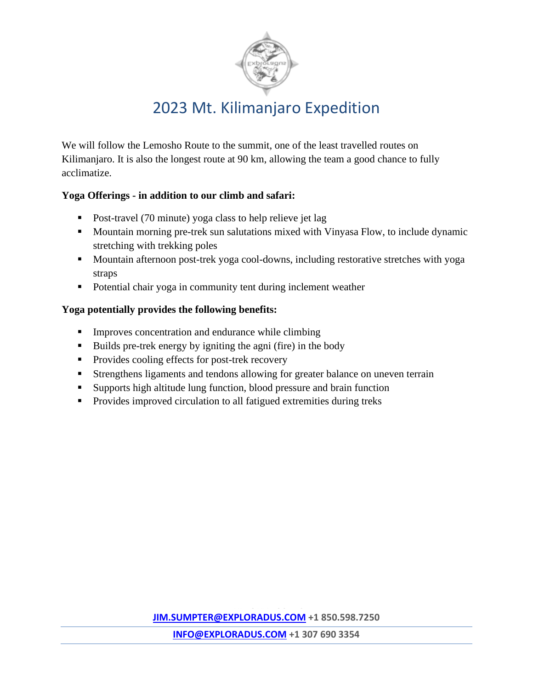

We will follow the Lemosho Route to the summit, one of the least travelled routes on Kilimanjaro. It is also the longest route at 90 km, allowing the team a good chance to fully acclimatize.

#### **Yoga Offerings - in addition to our climb and safari:**

- Post-travel (70 minute) yoga class to help relieve jet lag
- Mountain morning pre-trek sun salutations mixed with Vinyasa Flow, to include dynamic stretching with trekking poles
- Mountain afternoon post-trek yoga cool-downs, including restorative stretches with yoga straps
- Potential chair yoga in community tent during inclement weather

#### **Yoga potentially provides the following benefits:**

- **•** Improves concentration and endurance while climbing
- Builds pre-trek energy by igniting the agni (fire) in the body
- Provides cooling effects for post-trek recovery
- **EXTERGHERS** Islaments and tendons allowing for greater balance on uneven terrain
- Supports high altitude lung function, blood pressure and brain function
- Provides improved circulation to all fatigued extremities during treks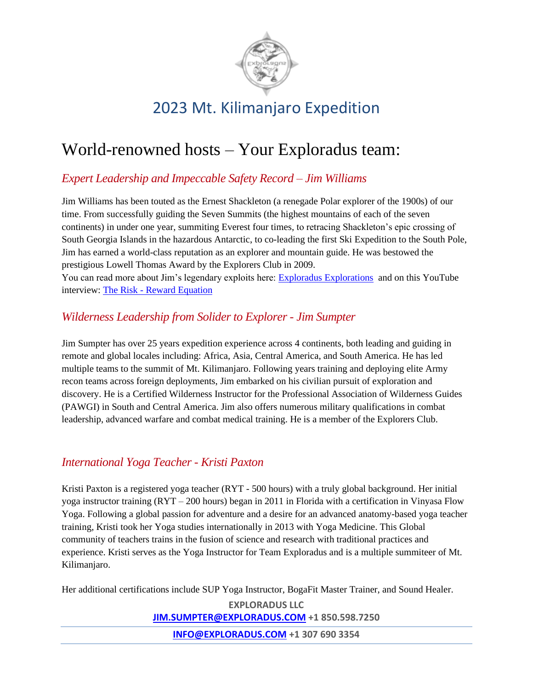

# World-renowned hosts – Your Exploradus team:

### *Expert Leadership and Impeccable Safety Record – Jim Williams*

Jim Williams has been touted as the Ernest Shackleton (a renegade Polar explorer of the 1900s) of our time. From successfully guiding the Seven Summits (the highest mountains of each of the seven continents) in under one year, summiting Everest four times, to retracing Shackleton's epic crossing of South Georgia Islands in the hazardous Antarctic, to co-leading the first Ski Expedition to the South Pole, Jim has earned a world-class reputation as an explorer and mountain guide. He was bestowed the prestigious Lowell Thomas Award by the Explorers Club in 2009.

You can read more about Jim's legendary exploits here: [Exploradus Explorations](http://exploradus.com/explorations/) and on this YouTube interview: The Risk - [Reward Equation](https://youtu.be/rG2GYorFdgw)

### *Wilderness Leadership from Solider to Explorer - Jim Sumpter*

Jim Sumpter has over 25 years expedition experience across 4 continents, both leading and guiding in remote and global locales including: Africa, Asia, Central America, and South America. He has led multiple teams to the summit of Mt. Kilimanjaro. Following years training and deploying elite Army recon teams across foreign deployments, Jim embarked on his civilian pursuit of exploration and discovery. He is a Certified Wilderness Instructor for the Professional Association of Wilderness Guides (PAWGI) in South and Central America. Jim also offers numerous military qualifications in combat leadership, advanced warfare and combat medical training. He is a member of the Explorers Club.

#### *International Yoga Teacher - Kristi Paxton*

Kristi Paxton is a registered yoga teacher (RYT - 500 hours) with a truly global background. Her initial yoga instructor training (RYT – 200 hours) began in 2011 in Florida with a certification in Vinyasa Flow Yoga. Following a global passion for adventure and a desire for an advanced anatomy-based yoga teacher training, Kristi took her Yoga studies internationally in 2013 with Yoga Medicine. This Global community of teachers trains in the fusion of science and research with traditional practices and experience. Kristi serves as the Yoga Instructor for Team Exploradus and is a multiple summiteer of Mt. Kilimanjaro.

Her additional certifications include SUP Yoga Instructor, BogaFit Master Trainer, and Sound Healer.

**EXPLORADUS LLC [JIM.SUMPTER@EXPLORADUS.COM](mailto:JIM.sumpter@exploradud.COM) +1 850.598.7250**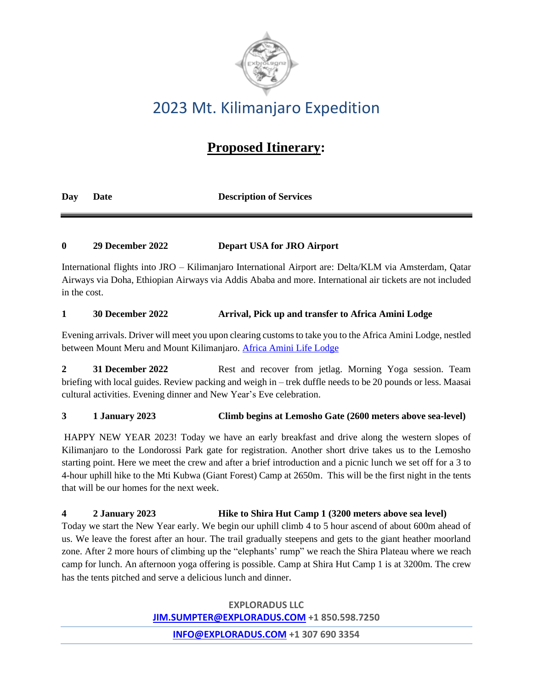

## **Proposed Itinerary:**

**Day Date Description of Services**

#### **0 29 December 2022 Depart USA for JRO Airport**

International flights into JRO – Kilimanjaro International Airport are: Delta/KLM via Amsterdam, Qatar Airways via Doha, Ethiopian Airways via Addis Ababa and more. International air tickets are not included in the cost.

#### **1 30 December 2022 Arrival, Pick up and transfer to Africa Amini Lodge**

Evening arrivals. Driver will meet you upon clearing customs to take you to the Africa Amini Lodge, nestled between Mount Meru and Mount Kilimanjaro. [Africa Amini Life Lodge](https://africaaminilife.com/en)

**2 31 December 2022** Rest and recover from jetlag. Morning Yoga session. Team briefing with local guides. Review packing and weigh in – trek duffle needs to be 20 pounds or less. Maasai cultural activities. Evening dinner and New Year's Eve celebration.

**3 1 January 2023 Climb begins at Lemosho Gate (2600 meters above sea-level)**

HAPPY NEW YEAR 2023! Today we have an early breakfast and drive along the western slopes of Kilimanjaro to the Londorossi Park gate for registration. Another short drive takes us to the Lemosho starting point. Here we meet the crew and after a brief introduction and a picnic lunch we set off for a 3 to 4-hour uphill hike to the Mti Kubwa (Giant Forest) Camp at 2650m. This will be the first night in the tents that will be our homes for the next week.

**4 2 January 2023 Hike to Shira Hut Camp 1 (3200 meters above sea level)**

Today we start the New Year early. We begin our uphill climb 4 to 5 hour ascend of about 600m ahead of us. We leave the forest after an hour. The trail gradually steepens and gets to the giant heather moorland zone. After 2 more hours of climbing up the "elephants' rump" we reach the Shira Plateau where we reach camp for lunch. An afternoon yoga offering is possible. Camp at Shira Hut Camp 1 is at 3200m. The crew has the tents pitched and serve a delicious lunch and dinner.

> **EXPLORADUS LLC [JIM.SUMPTER@EXPLORADUS.COM](mailto:JIM.sumpter@exploradud.COM) +1 850.598.7250**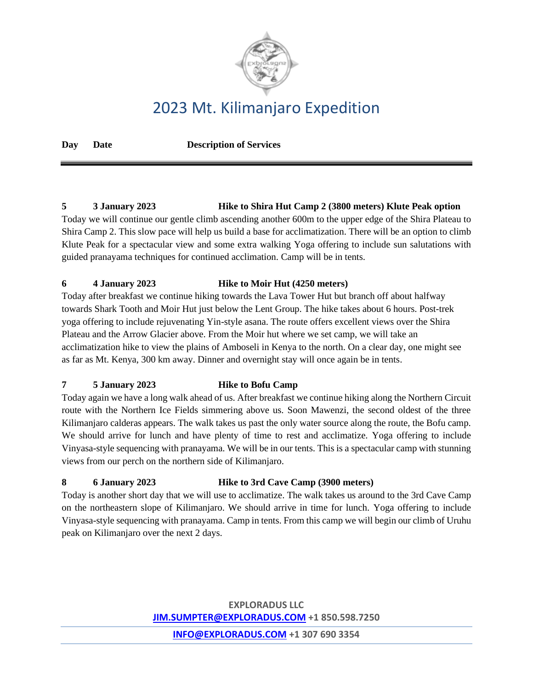

**Day Date Description of Services**

#### **5 3 January 2023 Hike to Shira Hut Camp 2 (3800 meters) Klute Peak option**

Today we will continue our gentle climb ascending another 600m to the upper edge of the Shira Plateau to Shira Camp 2. This slow pace will help us build a base for acclimatization. There will be an option to climb Klute Peak for a spectacular view and some extra walking Yoga offering to include sun salutations with guided pranayama techniques for continued acclimation. Camp will be in tents.

#### **6 4 January 2023 Hike to Moir Hut (4250 meters)**

Today after breakfast we continue hiking towards the Lava Tower Hut but branch off about halfway towards Shark Tooth and Moir Hut just below the Lent Group. The hike takes about 6 hours. Post-trek yoga offering to include rejuvenating Yin-style asana. The route offers excellent views over the Shira Plateau and the Arrow Glacier above. From the Moir hut where we set camp, we will take an acclimatization hike to view the plains of Amboseli in Kenya to the north. On a clear day, one might see as far as Mt. Kenya, 300 km away. Dinner and overnight stay will once again be in tents.

#### **7 5 January 2023 Hike to Bofu Camp**

Today again we have a long walk ahead of us. After breakfast we continue hiking along the Northern Circuit route with the Northern Ice Fields simmering above us. Soon Mawenzi, the second oldest of the three Kilimanjaro calderas appears. The walk takes us past the only water source along the route, the Bofu camp. We should arrive for lunch and have plenty of time to rest and acclimatize. Yoga offering to include Vinyasa-style sequencing with pranayama. We will be in our tents. This is a spectacular camp with stunning views from our perch on the northern side of Kilimanjaro.

#### **8 6 January 2023 Hike to 3rd Cave Camp (3900 meters)**

Today is another short day that we will use to acclimatize. The walk takes us around to the 3rd Cave Camp on the northeastern slope of Kilimanjaro. We should arrive in time for lunch. Yoga offering to include Vinyasa-style sequencing with pranayama. Camp in tents. From this camp we will begin our climb of Uruhu peak on Kilimanjaro over the next 2 days.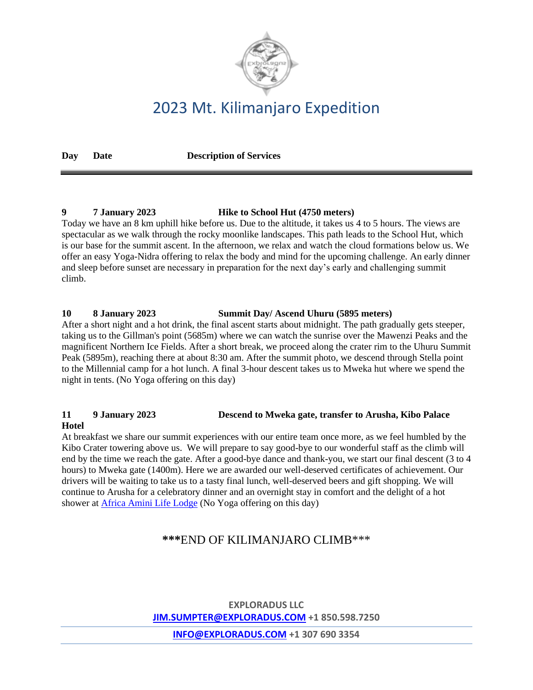

**Day Date Description of Services**

#### **9 7 January 2023 Hike to School Hut (4750 meters)**

Today we have an 8 km uphill hike before us. Due to the altitude, it takes us 4 to 5 hours. The views are spectacular as we walk through the rocky moonlike landscapes. This path leads to the School Hut, which is our base for the summit ascent. In the afternoon, we relax and watch the cloud formations below us. We offer an easy Yoga-Nidra offering to relax the body and mind for the upcoming challenge. An early dinner and sleep before sunset are necessary in preparation for the next day's early and challenging summit climb.

#### **10 8 January 2023 Summit Day/ Ascend Uhuru (5895 meters)**

After a short night and a hot drink, the final ascent starts about midnight. The path gradually gets steeper, taking us to the Gillman's point (5685m) where we can watch the sunrise over the Mawenzi Peaks and the magnificent Northern Ice Fields. After a short break, we proceed along the crater rim to the Uhuru Summit Peak (5895m), reaching there at about 8:30 am. After the summit photo, we descend through Stella point to the Millennial camp for a hot lunch. A final 3-hour descent takes us to Mweka hut where we spend the night in tents. (No Yoga offering on this day)

#### **11 9 January 2023 Descend to Mweka gate, transfer to Arusha, Kibo Palace Hotel**

At breakfast we share our summit experiences with our entire team once more, as we feel humbled by the Kibo Crater towering above us. We will prepare to say good-bye to our wonderful staff as the climb will end by the time we reach the gate. After a good-bye dance and thank-you, we start our final descent (3 to 4 hours) to Mweka gate (1400m). Here we are awarded our well-deserved certificates of achievement. Our drivers will be waiting to take us to a tasty final lunch, well-deserved beers and gift shopping. We will continue to Arusha for a celebratory dinner and an overnight stay in comfort and the delight of a hot shower at [Africa Amini Life Lodge](https://africaaminilife.com/en) (No Yoga offering on this day)

### **\*\*\***END OF KILIMANJARO CLIMB\*\*\*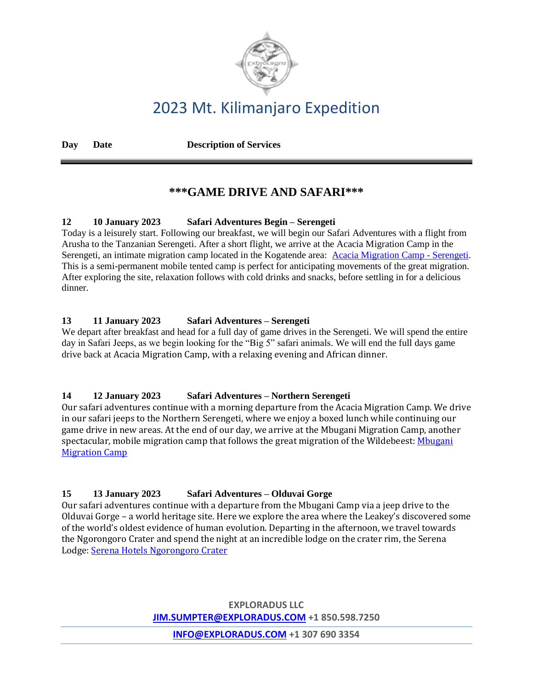

**Day Date Description of Services**

### **\*\*\*GAME DRIVE AND SAFARI\*\*\***

#### **12 10 January 2023 Safari Adventures Begin – Serengeti**

Today is a leisurely start. Following our breakfast, we will begin our Safari Adventures with a flight from Arusha to the Tanzanian Serengeti. After a short flight, we arrive at the Acacia Migration Camp in the Serengeti, an intimate migration camp located in the Kogatende area: [Acacia Migration Camp -](https://serengetiacaciacamps.com/acacia-migration-camp/) Serengeti. This is a semi-permanent mobile tented camp is perfect for anticipating movements of the great migration. After exploring the site, relaxation follows with cold drinks and snacks, before settling in for a delicious dinner.

#### **13 11 January 2023 Safari Adventures – Serengeti**

We depart after breakfast and head for a full day of game drives in the Serengeti. We will spend the entire day in Safari Jeeps, as we begin looking for the "Big 5" safari animals. We will end the full days game drive back at Acacia Migration Camp, with a relaxing evening and African dinner.

#### **14 12 January 2023 Safari Adventures – Northern Serengeti**

Our safari adventures continue with a morning departure from the Acacia Migration Camp. We drive in our safari jeeps to the Northern Serengeti, where we enjoy a boxed lunch while continuing our game drive in new areas. At the end of our day, we arrive at the Mbugani Migration Camp, another spectacular, mobile migration camp that follows the great migration of the Wildebeest[: Mbugani](https://mbuganicamps.com/camps/migration-camp.html)  [Migration Camp](https://mbuganicamps.com/camps/migration-camp.html)

#### **15 13 January 2023 Safari Adventures – Olduvai Gorge**

Our safari adventures continue with a departure from the Mbugani Camp via a jeep drive to the Olduvai Gorge – a world heritage site. Here we explore the area where the Leakey's discovered some of the world's oldest evidence of human evolution. Departing in the afternoon, we travel towards the Ngorongoro Crater and spend the night at an incredible lodge on the crater rim, the Serena Lodge: [Serena Hotels Ngorongoro Crater](https://www.serenahotels.com/ngorongoro)

> **EXPLORADUS LLC [JIM.SUMPTER@EXPLORADUS.COM](mailto:JIM.sumpter@exploradud.COM) +1 850.598.7250**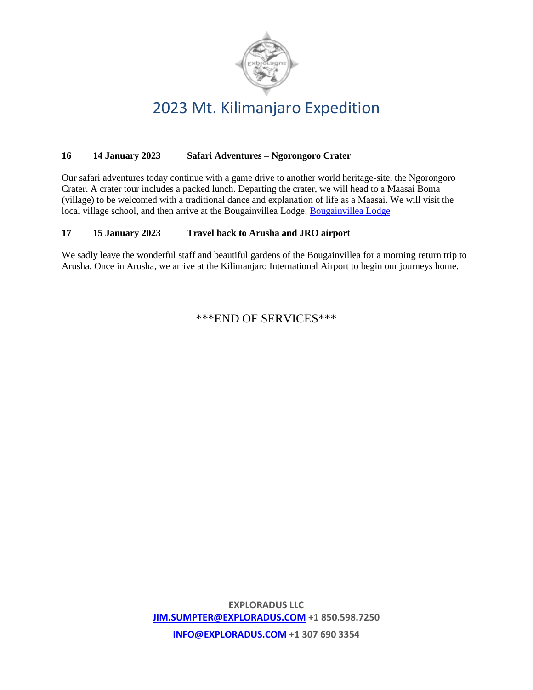

#### **16 14 January 2023 Safari Adventures – Ngorongoro Crater**

Our safari adventures today continue with a game drive to another world heritage-site, the Ngorongoro Crater. A crater tour includes a packed lunch. Departing the crater, we will head to a Maasai Boma (village) to be welcomed with a traditional dance and explanation of life as a Maasai. We will visit the local village school, and then arrive at the Bougainvillea Lodge: [Bougainvillea Lodge](http://www.bougainvilleagroup.com/)

#### **17 15 January 2023 Travel back to Arusha and JRO airport**

We sadly leave the wonderful staff and beautiful gardens of the Bougainvillea for a morning return trip to Arusha. Once in Arusha, we arrive at the Kilimanjaro International Airport to begin our journeys home.

\*\*\*END OF SERVICES\*\*\*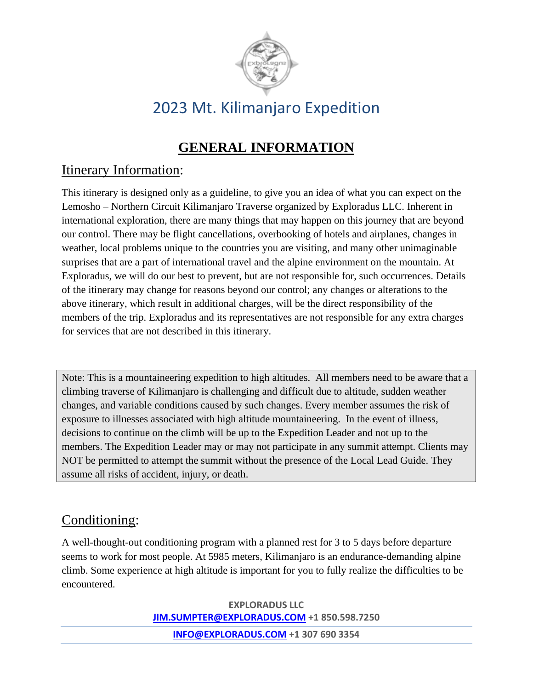

## **GENERAL INFORMATION**

### Itinerary Information:

This itinerary is designed only as a guideline, to give you an idea of what you can expect on the Lemosho – Northern Circuit Kilimanjaro Traverse organized by Exploradus LLC. Inherent in international exploration, there are many things that may happen on this journey that are beyond our control. There may be flight cancellations, overbooking of hotels and airplanes, changes in weather, local problems unique to the countries you are visiting, and many other unimaginable surprises that are a part of international travel and the alpine environment on the mountain. At Exploradus, we will do our best to prevent, but are not responsible for, such occurrences. Details of the itinerary may change for reasons beyond our control; any changes or alterations to the above itinerary, which result in additional charges, will be the direct responsibility of the members of the trip. Exploradus and its representatives are not responsible for any extra charges for services that are not described in this itinerary.

Note: This is a mountaineering expedition to high altitudes. All members need to be aware that a climbing traverse of Kilimanjaro is challenging and difficult due to altitude, sudden weather changes, and variable conditions caused by such changes. Every member assumes the risk of exposure to illnesses associated with high altitude mountaineering. In the event of illness, decisions to continue on the climb will be up to the Expedition Leader and not up to the members. The Expedition Leader may or may not participate in any summit attempt. Clients may NOT be permitted to attempt the summit without the presence of the Local Lead Guide. They assume all risks of accident, injury, or death.

## Conditioning:

A well-thought-out conditioning program with a planned rest for 3 to 5 days before departure seems to work for most people. At 5985 meters, Kilimanjaro is an endurance-demanding alpine climb. Some experience at high altitude is important for you to fully realize the difficulties to be encountered.

> **EXPLORADUS LLC [JIM.SUMPTER@EXPLORADUS.COM](mailto:JIM.sumpter@exploradud.COM) +1 850.598.7250**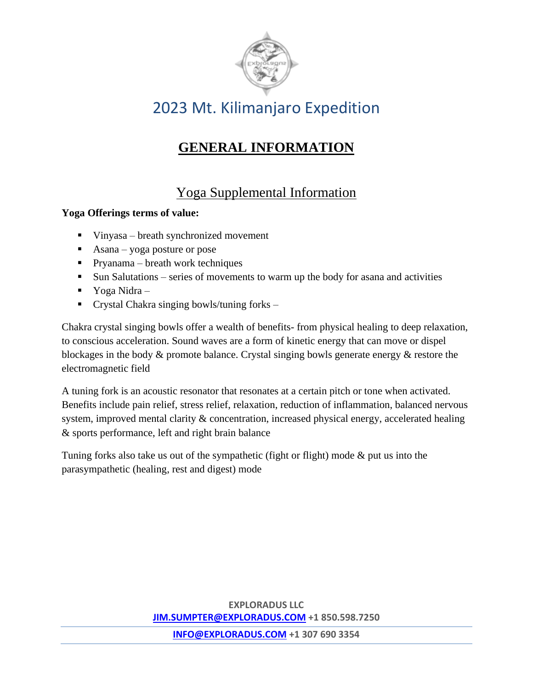

## **GENERAL INFORMATION**

## Yoga Supplemental Information

#### **Yoga Offerings terms of value:**

- Vinyasa breath synchronized movement
- $\blacksquare$  Asana yoga posture or pose
- $\blacksquare$  Pryanama breath work techniques
- Sun Salutations series of movements to warm up the body for asana and activities
- $\blacksquare$  Yoga Nidra –
- **•** Crystal Chakra singing bowls/tuning forks –

Chakra crystal singing bowls offer a wealth of benefits- from physical healing to deep relaxation, to conscious acceleration. Sound waves are a form of kinetic energy that can move or dispel blockages in the body & promote balance. Crystal singing bowls generate energy & restore the electromagnetic field

A tuning fork is an acoustic resonator that resonates at a certain pitch or tone when activated. Benefits include pain relief, stress relief, relaxation, reduction of inflammation, balanced nervous system, improved mental clarity & concentration, increased physical energy, accelerated healing & sports performance, left and right brain balance

Tuning forks also take us out of the sympathetic (fight or flight) mode & put us into the parasympathetic (healing, rest and digest) mode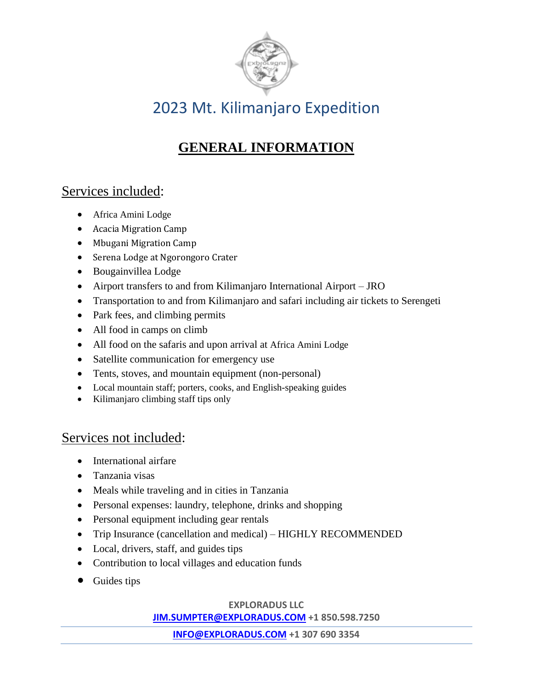

## **GENERAL INFORMATION**

## Services included:

- Africa Amini Lodge
- Acacia Migration Camp
- Mbugani Migration Camp
- Serena Lodge at Ngorongoro Crater
- Bougainvillea Lodge
- Airport transfers to and from Kilimanjaro International Airport JRO
- Transportation to and from Kilimanjaro and safari including air tickets to Serengeti
- Park fees, and climbing permits
- All food in camps on climb
- All food on the safaris and upon arrival at Africa Amini Lodge
- Satellite communication for emergency use
- Tents, stoves, and mountain equipment (non-personal)
- Local mountain staff; porters, cooks, and English-speaking guides
- Kilimanjaro climbing staff tips only

### Services not included:

- International airfare
- Tanzania visas
- Meals while traveling and in cities in Tanzania
- Personal expenses: laundry, telephone, drinks and shopping
- Personal equipment including gear rentals
- Trip Insurance (cancellation and medical) HIGHLY RECOMMENDED
- Local, drivers, staff, and guides tips
- Contribution to local villages and education funds
- Guides tips

#### **EXPLORADUS LLC**

**[JIM.SUMPTER@EXPLORADUS.COM](mailto:JIM.sumpter@exploradud.COM) +1 850.598.7250**